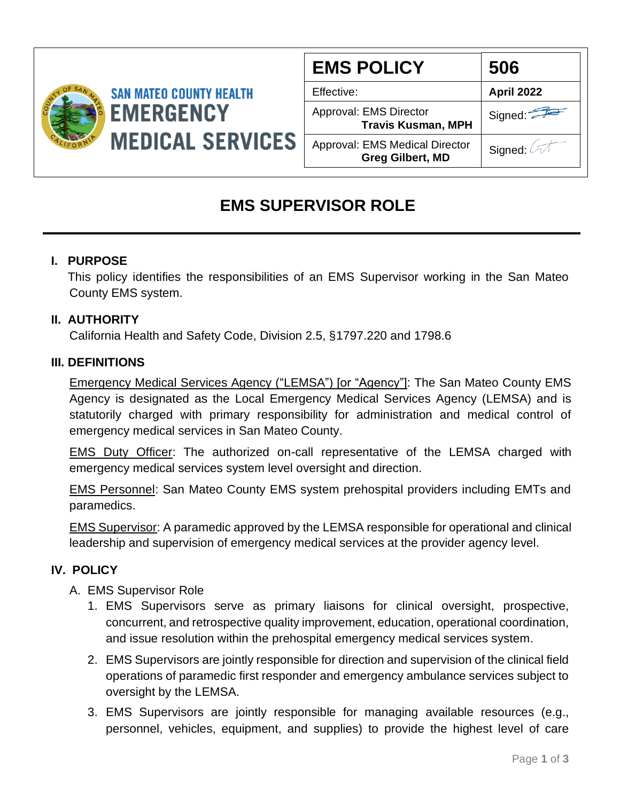

| <b>EMS POLICY</b>                                         | 506               |
|-----------------------------------------------------------|-------------------|
| Effective:                                                | <b>April 2022</b> |
| Approval: EMS Director<br><b>Travis Kusman, MPH</b>       | Signed:           |
| Approval: EMS Medical Director<br><b>Greg Gilbert, MD</b> | Signed: A         |

# **EMS SUPERVISOR ROLE**

# **I. PURPOSE**

 This policy identifies the responsibilities of an EMS Supervisor working in the San Mateo County EMS system.

# **II. AUTHORITY**

California Health and Safety Code, Division 2.5, §1797.220 and 1798.6

### **III. DEFINITIONS**

Emergency Medical Services Agency ("LEMSA") [or "Agency"]: The San Mateo County EMS Agency is designated as the Local Emergency Medical Services Agency (LEMSA) and is statutorily charged with primary responsibility for administration and medical control of emergency medical services in San Mateo County.

EMS Duty Officer: The authorized on-call representative of the LEMSA charged with emergency medical services system level oversight and direction.

EMS Personnel: San Mateo County EMS system prehospital providers including EMTs and paramedics.

EMS Supervisor: A paramedic approved by the LEMSA responsible for operational and clinical leadership and supervision of emergency medical services at the provider agency level.

# **IV. POLICY**

# A. EMS Supervisor Role

- 1. EMS Supervisors serve as primary liaisons for clinical oversight, prospective, concurrent, and retrospective quality improvement, education, operational coordination, and issue resolution within the prehospital emergency medical services system.
- 2. EMS Supervisors are jointly responsible for direction and supervision of the clinical field operations of paramedic first responder and emergency ambulance services subject to oversight by the LEMSA.
- 3. EMS Supervisors are jointly responsible for managing available resources (e.g., personnel, vehicles, equipment, and supplies) to provide the highest level of care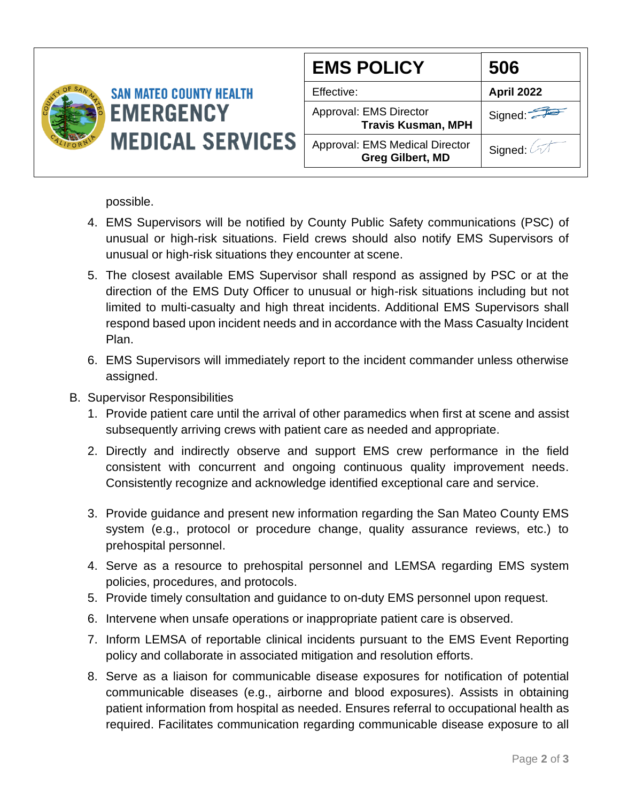

possible.

- 4. EMS Supervisors will be notified by County Public Safety communications (PSC) of unusual or high-risk situations. Field crews should also notify EMS Supervisors of unusual or high-risk situations they encounter at scene.
- 5. The closest available EMS Supervisor shall respond as assigned by PSC or at the direction of the EMS Duty Officer to unusual or high-risk situations including but not limited to multi-casualty and high threat incidents. Additional EMS Supervisors shall respond based upon incident needs and in accordance with the Mass Casualty Incident Plan.
- 6. EMS Supervisors will immediately report to the incident commander unless otherwise assigned.
- B. Supervisor Responsibilities
	- 1. Provide patient care until the arrival of other paramedics when first at scene and assist subsequently arriving crews with patient care as needed and appropriate.
	- 2. Directly and indirectly observe and support EMS crew performance in the field consistent with concurrent and ongoing continuous quality improvement needs. Consistently recognize and acknowledge identified exceptional care and service.
	- 3. Provide guidance and present new information regarding the San Mateo County EMS system (e.g., protocol or procedure change, quality assurance reviews, etc.) to prehospital personnel.
	- 4. Serve as a resource to prehospital personnel and LEMSA regarding EMS system policies, procedures, and protocols.
	- 5. Provide timely consultation and guidance to on-duty EMS personnel upon request.
	- 6. Intervene when unsafe operations or inappropriate patient care is observed.
	- 7. Inform LEMSA of reportable clinical incidents pursuant to the EMS Event Reporting policy and collaborate in associated mitigation and resolution efforts.
	- 8. Serve as a liaison for communicable disease exposures for notification of potential communicable diseases (e.g., airborne and blood exposures). Assists in obtaining patient information from hospital as needed. Ensures referral to occupational health as required. Facilitates communication regarding communicable disease exposure to all